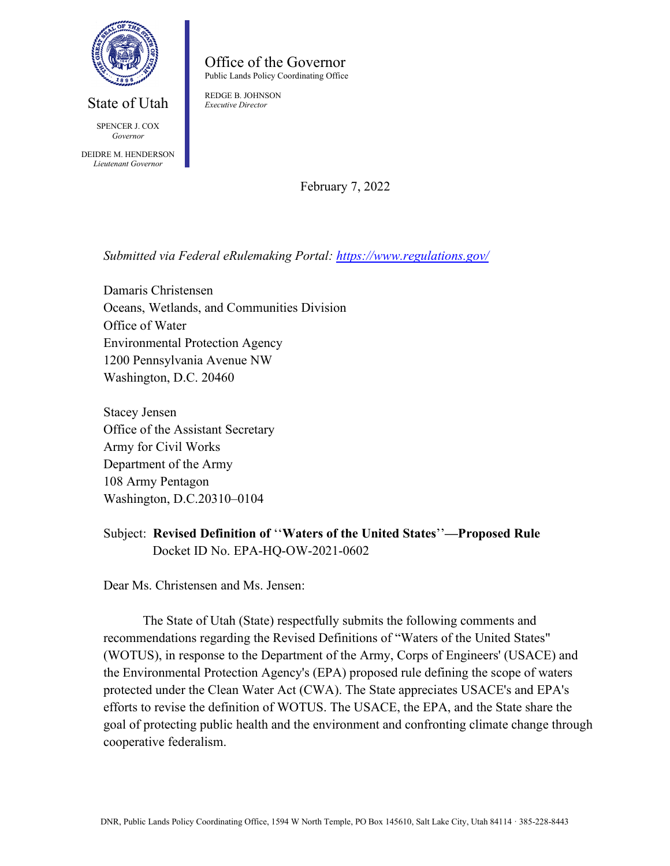

# State of Utah

SPENCER L COX *Governor*

DEIDRE M. HENDERSON *Lieutenant Governor*

Office of the Governor Public Lands Policy Coordinating Office

REDGE B. JOHNSON *Executive Director*

February 7, 2022

*Submitted via Federal eRulemaking Portal:<https://www.regulations.gov/>*

Damaris Christensen Oceans, Wetlands, and Communities Division Office of Water Environmental Protection Agency 1200 Pennsylvania Avenue NW Washington, D.C. 20460

Stacey Jensen Office of the Assistant Secretary Army for Civil Works Department of the Army 108 Army Pentagon Washington, D.C.20310–0104

Dear Ms. Christensen and Ms. Jensen:

The State of Utah (State) respectfully submits the following comments and recommendations regarding the Revised Definitions of "Waters of the United States" (WOTUS), in response to the Department of the Army, Corps of Engineers' (USACE) and the Environmental Protection Agency's (EPA) proposed rule defining the scope of waters protected under the Clean Water Act (CWA). The State appreciates USACE's and EPA's efforts to revise the definition of WOTUS. The USACE, the EPA, and the State share the goal of protecting public health and the environment and confronting climate change through cooperative federalism.

Subject: **Revised Definition of** ''**Waters of the United States**''**—Proposed Rule** Docket ID No. EPA-HQ-OW-2021-0602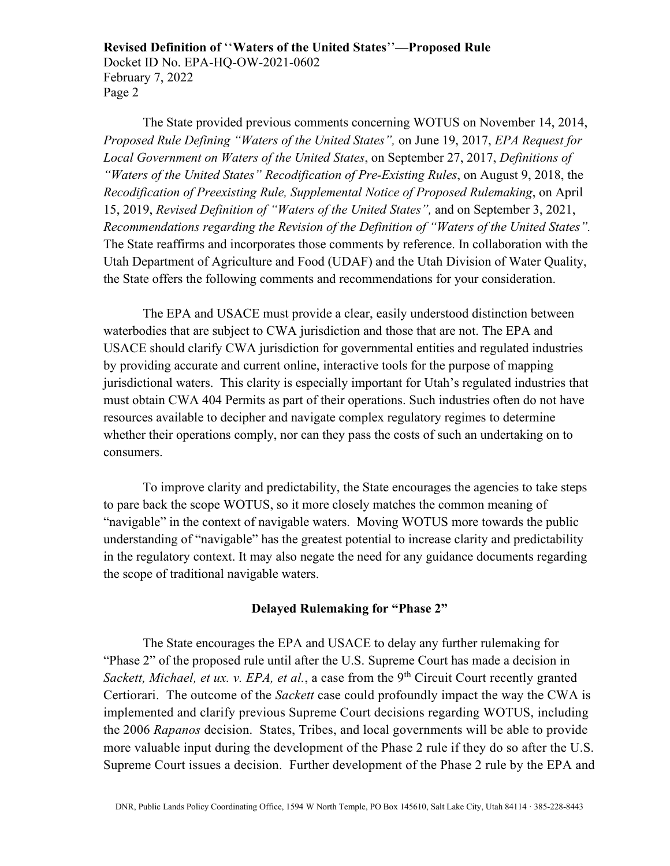The State provided previous comments concerning WOTUS on November 14, 2014, *Proposed Rule Defining "Waters of the United States",* on June 19, 2017, *EPA Request for Local Government on Waters of the United States*, on September 27, 2017, *Definitions of "Waters of the United States" Recodification of Pre-Existing Rules*, on August 9, 2018, the *Recodification of Preexisting Rule, Supplemental Notice of Proposed Rulemaking*, on April 15, 2019, *Revised Definition of "Waters of the United States",* and on September 3, 2021, *Recommendations regarding the Revision of the Definition of "Waters of the United States".* The State reaffirms and incorporates those comments by reference. In collaboration with the Utah Department of Agriculture and Food (UDAF) and the Utah Division of Water Quality, the State offers the following comments and recommendations for your consideration.

The EPA and USACE must provide a clear, easily understood distinction between waterbodies that are subject to CWA jurisdiction and those that are not. The EPA and USACE should clarify CWA jurisdiction for governmental entities and regulated industries by providing accurate and current online, interactive tools for the purpose of mapping jurisdictional waters. This clarity is especially important for Utah's regulated industries that must obtain CWA 404 Permits as part of their operations. Such industries often do not have resources available to decipher and navigate complex regulatory regimes to determine whether their operations comply, nor can they pass the costs of such an undertaking on to consumers.

To improve clarity and predictability, the State encourages the agencies to take steps to pare back the scope WOTUS, so it more closely matches the common meaning of "navigable" in the context of navigable waters. Moving WOTUS more towards the public understanding of "navigable" has the greatest potential to increase clarity and predictability in the regulatory context. It may also negate the need for any guidance documents regarding the scope of traditional navigable waters.

## **Delayed Rulemaking for "Phase 2"**

The State encourages the EPA and USACE to delay any further rulemaking for "Phase 2" of the proposed rule until after the U.S. Supreme Court has made a decision in *[Sackett, Michael, et ux. v. EPA, et al.](https://d2pgrf04.na1.hubspotlinks.com/Btc/RJ+113/d2pGrf04/MVV14lykkm-N2-S9Z5hVLRnW8cYYgJ4DP624N7TcW2t3lSc3V1-WJV7CgSk0N6pbzDWVRV9lVRWWtj3hhV2wW4kGFwS6j8sXWW8h_1Hw3QMrWZVZxK7j1msw01W7TkBbb6_v1kRW8By8Fl6RhwZbW7H4sF66H8xtXW7srpgw1F9tnjN6fzQYvdD90ZVnfPX28yRz1hW1pjhQM1_xCKNW8qtYqn4Lgqf1W2tFbMW6JMlGBW2Lcr7g3CgVSYW10sYcM3W0yKvW3tDP864m7BdHW5sdQtZ7h-_nXW3HxZVK1KYnmcW8xwXFK7QDV8_Vy8p3d3g8JHDW5-QTmK70M5_2W8TjmNm8-f1p3N8kR-RXz3WZ539_P1), a case from the 9<sup>th</sup> Circuit Court recently granted* Certiorari. The outcome of the *Sackett* case could profoundly impact the way the CWA is implemented and clarify previous Supreme Court decisions regarding WOTUS, including the 2006 *Rapanos* decision. States, Tribes, and local governments will be able to provide more valuable input during the development of the Phase 2 rule if they do so after the U.S. Supreme Court issues a decision. Further development of the Phase 2 rule by the EPA and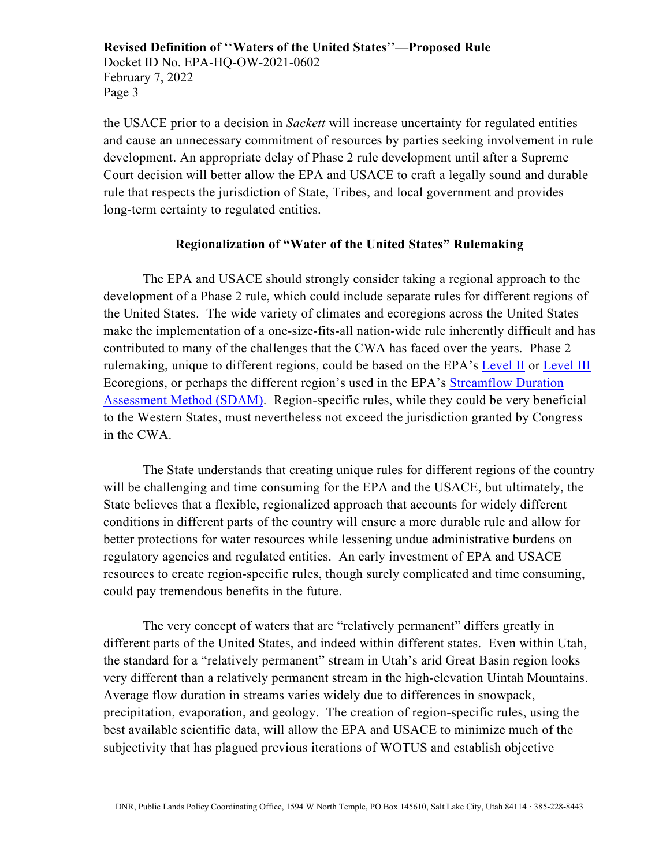the USACE prior to a decision in *Sackett* will increase uncertainty for regulated entities and cause an unnecessary commitment of resources by parties seeking involvement in rule development. An appropriate delay of Phase 2 rule development until after a Supreme Court decision will better allow the EPA and USACE to craft a legally sound and durable rule that respects the jurisdiction of State, Tribes, and local government and provides long-term certainty to regulated entities.

#### **Regionalization of "Water of the United States" Rulemaking**

The EPA and USACE should strongly consider taking a regional approach to the development of a Phase 2 rule, which could include separate rules for different regions of the United States. The wide variety of climates and ecoregions across the United States make the implementation of a one-size-fits-all nation-wide rule inherently difficult and has contributed to many of the challenges that the CWA has faced over the years. Phase 2 rulemaking, unique to different regions, could be based on the EPA's [Level II](https://www.epa.gov/eco-research/ecoregions-north-america) or [Level III](https://www.epa.gov/eco-research/level-iii-and-iv-ecoregions-continental-united-states) Ecoregions, or perhaps the different region's used in the EPA's [Streamflow Duration](https://www.epa.gov/streamflow-duration-assessment/streamflow-duration-assessment-method-sdam-status-region)  [Assessment Method \(SDAM\).](https://www.epa.gov/streamflow-duration-assessment/streamflow-duration-assessment-method-sdam-status-region) Region-specific rules, while they could be very beneficial to the Western States, must nevertheless not exceed the jurisdiction granted by Congress in the CWA.

The State understands that creating unique rules for different regions of the country will be challenging and time consuming for the EPA and the USACE, but ultimately, the State believes that a flexible, regionalized approach that accounts for widely different conditions in different parts of the country will ensure a more durable rule and allow for better protections for water resources while lessening undue administrative burdens on regulatory agencies and regulated entities. An early investment of EPA and USACE resources to create region-specific rules, though surely complicated and time consuming, could pay tremendous benefits in the future.

The very concept of waters that are "relatively permanent" differs greatly in different parts of the United States, and indeed within different states. Even within Utah, the standard for a "relatively permanent" stream in Utah's arid Great Basin region looks very different than a relatively permanent stream in the high-elevation Uintah Mountains. Average flow duration in streams varies widely due to differences in snowpack, precipitation, evaporation, and geology. The creation of region-specific rules, using the best available scientific data, will allow the EPA and USACE to minimize much of the subjectivity that has plagued previous iterations of WOTUS and establish objective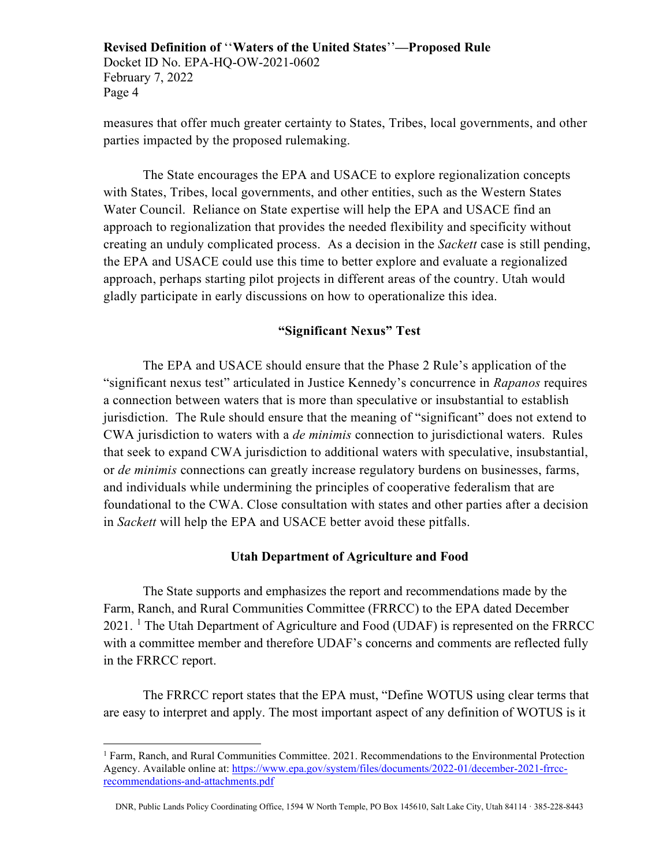measures that offer much greater certainty to States, Tribes, local governments, and other parties impacted by the proposed rulemaking.

The State encourages the EPA and USACE to explore regionalization concepts with States, Tribes, local governments, and other entities, such as the Western States Water Council. Reliance on State expertise will help the EPA and USACE find an approach to regionalization that provides the needed flexibility and specificity without creating an unduly complicated process. As a decision in the *Sackett* case is still pending, the EPA and USACE could use this time to better explore and evaluate a regionalized approach, perhaps starting pilot projects in different areas of the country. Utah would gladly participate in early discussions on how to operationalize this idea.

# **"Significant Nexus" Test**

The EPA and USACE should ensure that the Phase 2 Rule's application of the "significant nexus test" articulated in Justice Kennedy's concurrence in *Rapanos* requires a connection between waters that is more than speculative or insubstantial to establish jurisdiction. The Rule should ensure that the meaning of "significant" does not extend to CWA jurisdiction to waters with a *de minimis* connection to jurisdictional waters. Rules that seek to expand CWA jurisdiction to additional waters with speculative, insubstantial, or *de minimis* connections can greatly increase regulatory burdens on businesses, farms, and individuals while undermining the principles of cooperative federalism that are foundational to the CWA. Close consultation with states and other parties after a decision in *Sackett* will help the EPA and USACE better avoid these pitfalls.

#### **Utah Department of Agriculture and Food**

The State supports and emphasizes the report and recommendations made by the Farm, Ranch, and Rural Communities Committee (FRRCC) to the EPA dated December  $2021$  $2021$ . <sup>1</sup> The Utah Department of Agriculture and Food (UDAF) is represented on the FRRCC with a committee member and therefore UDAF's concerns and comments are reflected fully in the FRRCC report.

The FRRCC report states that the EPA must, "Define WOTUS using clear terms that are easy to interpret and apply. The most important aspect of any definition of WOTUS is it

<span id="page-3-0"></span><sup>1</sup> Farm, Ranch, and Rural Communities Committee. 2021. Recommendations to the Environmental Protection Agency. Available online at: [https://www.epa.gov/system/files/documents/2022-01/december-2021-frrcc](https://www.epa.gov/system/files/documents/2022-01/december-2021-frrcc-recommendations-and-attachments.pdf)[recommendations-and-attachments.pdf](https://www.epa.gov/system/files/documents/2022-01/december-2021-frrcc-recommendations-and-attachments.pdf)

DNR, Public Lands Policy Coordinating Office, 1594 W North Temple, PO Box 145610, Salt Lake City, Utah 84114 · 385-228-8443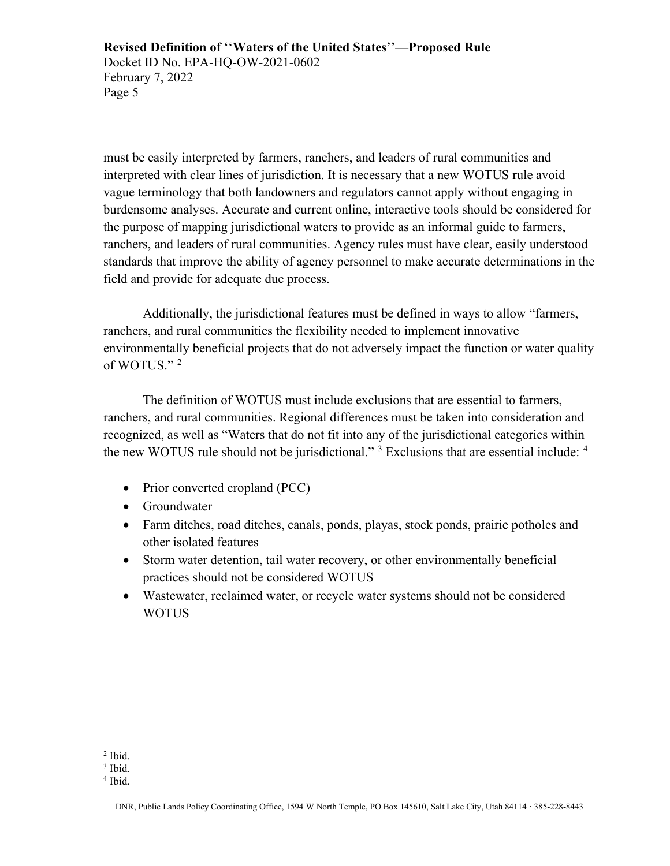must be easily interpreted by farmers, ranchers, and leaders of rural communities and interpreted with clear lines of jurisdiction. It is necessary that a new WOTUS rule avoid vague terminology that both landowners and regulators cannot apply without engaging in burdensome analyses. Accurate and current online, interactive tools should be considered for the purpose of mapping jurisdictional waters to provide as an informal guide to farmers, ranchers, and leaders of rural communities. Agency rules must have clear, easily understood standards that improve the ability of agency personnel to make accurate determinations in the field and provide for adequate due process.

Additionally, the jurisdictional features must be defined in ways to allow "farmers, ranchers, and rural communities the flexibility needed to implement innovative environmentally beneficial projects that do not adversely impact the function or water quality of WOTUS."<sup>[2](#page-4-0)</sup>

The definition of WOTUS must include exclusions that are essential to farmers, ranchers, and rural communities. Regional differences must be taken into consideration and recognized, as well as "Waters that do not fit into any of the jurisdictional categories within the new WOTUS rule should not be jurisdictional." <sup>[3](#page-4-1)</sup> Exclusions that are essential include: <sup>[4](#page-4-2)</sup>

- Prior converted cropland (PCC)
- Groundwater
- Farm ditches, road ditches, canals, ponds, playas, stock ponds, prairie potholes and other isolated features
- Storm water detention, tail water recovery, or other environmentally beneficial practices should not be considered WOTUS
- Wastewater, reclaimed water, or recycle water systems should not be considered WOTUS

<span id="page-4-0"></span> $<sup>2</sup>$  Ibid.</sup>

<span id="page-4-1"></span> $3$  Ibid.

<span id="page-4-2"></span><sup>4</sup> Ibid.